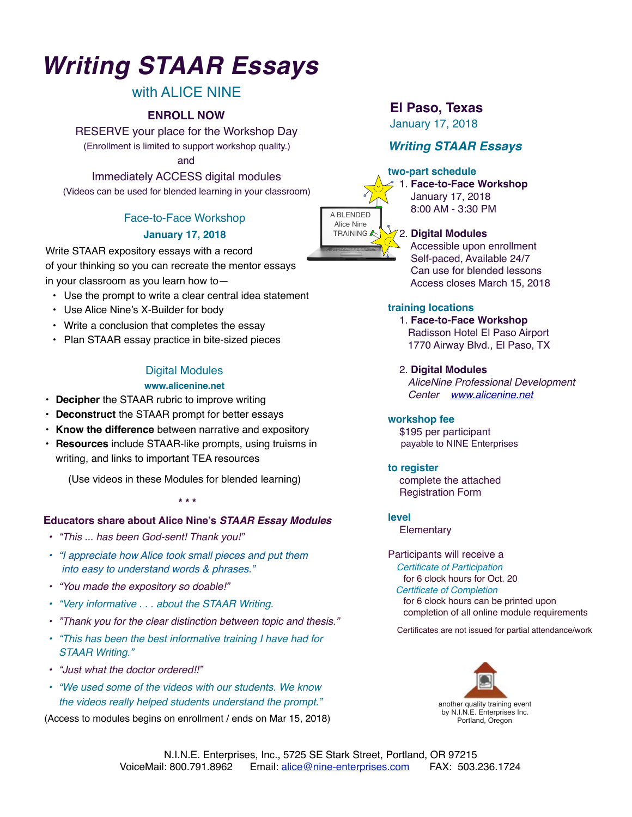# *Writing STAAR Essays*

# with ALICE NINE

RESERVE your place for the Workshop Day (Enrollment is limited to support workshop quality.)

and

Immediately ACCESS digital modules

(Videos can be used for blended learning in your classroom)

# Face-to-Face Workshop

### **January 17, 2018**

Write STAAR expository essays with a record of your thinking so you can recreate the mentor essays in your classroom as you learn how to—

- Use the prompt to write a clear central idea statement
- Use Alice Nine's X-Builder for body
- Write a conclusion that completes the essay
- Plan STAAR essay practice in bite-sized pieces

# Digital Modules

#### **www.alicenine.net**

- **Decipher** the STAAR rubric to improve writing
- **Deconstruct** the STAAR prompt for better essays
- **Know the difference** between narrative and expository
- **Resources** include STAAR-like prompts, using truisms in writing, and links to important TEA resources

(Use videos in these Modules for blended learning)

#### **\* \* \***

### **Educators share about Alice Nine's** *STAAR Essay Modules*

- *• "This ... has been God-sent! Thank you!"*
- *• "I appreciate how Alice took small pieces and put them into easy to understand words & phrases."*
- *• "You made the expository so doable!"*
- *• "Very informative . . . about the STAAR Writing.*
- *• "Thank you for the clear distinction between topic and thesis."*
- *• "This has been the best informative training I have had for STAAR Writing."*
- *• "Just what the doctor ordered!!"*
- *• "We used some of the videos with our students. We know the videos really helped students understand the prompt."*

(Access to modules begins on enrollment / ends on Mar 15, 2018)

# **El Paso, Texas**

January 17, 2018 **ENROLL NOW**

# *Writing STAAR Essays*

#### **two-part schedule**



 1. **Face-to-Face Workshop** January 17, 2018 8:00 AM - 3:30 PM

### 2. **Digital Modules**

 Accessible upon enrollment Self-paced, Available 24/7 Can use for blended lessons Access closes March 15, 2018

#### **training locations**

1. **Face-to-Face Workshop** Radisson Hotel El Paso Airport 1770 Airway Blvd., El Paso, TX

2. **Digital Modules**

 *AliceNine Professional Development Center [www.alicenine.net](http://www.alicenine.net)*

#### **workshop fee**

 \$195 per participant payable to NINE Enterprises

### **to register**

 complete the attached Registration Form

#### **level**

**Elementary** 

# Participants will receive a

 *Certificate of Participation*  for 6 clock hours for Oct. 20 *Certificate of Completion* for 6 clock hours can be printed upon completion of all online module requirements

Certificates are not issued for partial attendance/work